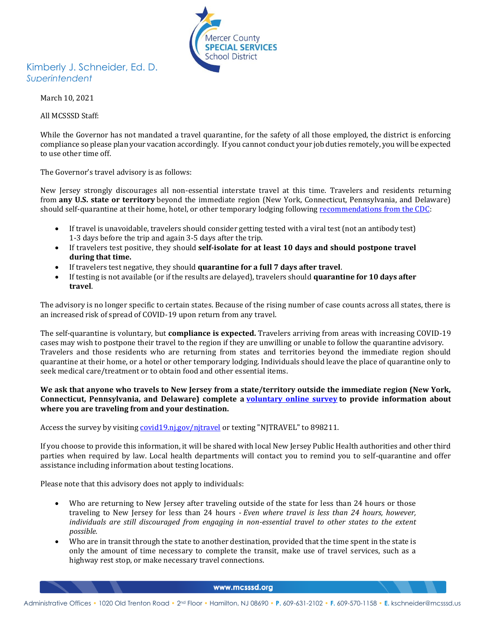

## Kimberly J. Schneider, Ed. D. *Superintendent*

March 10, 2021

All MCSSSD Staff:

While the Governor has not mandated a travel quarantine, for the safety of all those employed, the district is enforcing compliance so please plan your vacation accordingly. If you cannot conduct your job duties remotely, you will be expected to use other time off.

The Governor's travel advisory is as follows:

New Jersey strongly discourages all non-essential interstate travel at this time. Travelers and residents returning from **any U.S. state or territory** beyond the immediate region (New York, Connecticut, Pennsylvania, and Delaware) should self-quarantine at their home, hotel, or other temporary lodging following [recommendations from the CDC:](https://www.cdc.gov/coronavirus/2019-ncov/travelers/travel-during-covid19.html)

- If travel is unavoidable, travelers should consider getting tested with a viral test (not an antibody test) 1-3 days before the trip and again 3-5 days after the trip.
- If travelers test positive, they should **self-isolate for at least 10 days and should postpone travel during that time.**
- If travelers test negative, they should **quarantine for a full 7 days after travel**.
- If testing is not available (or if the results are delayed), travelers should **quarantine for 10 days after travel**.

The advisory is no longer specific to certain states. Because of the rising number of case counts across all states, there is an increased risk of spread of COVID-19 upon return from any travel.

The self-quarantine is voluntary, but **compliance is expected.** Travelers arriving from areas with increasing COVID-19 cases may wish to postpone their travel to the region if they are unwilling or unable to follow the quarantine advisory. Travelers and those residents who are returning from states and territories beyond the immediate region should quarantine at their home, or a hotel or other temporary lodging. Individuals should leave the place of quarantine only to seek medical care/treatment or to obtain food and other essential items.

**We ask that anyone who travels to New Jersey from a state/territory outside the immediate region (New York, Connecticut, Pennsylvania, and Delaware) complete a [voluntary online survey](https://covid19.nj.gov/njtravel) to provide information about where you are traveling from and your destination.**

Access the survey by visiting covid19.nj.gov/nitravel or texting "NJTRAVEL" to 898211.

If you choose to provide this information, it will be shared with local New Jersey Public Health authorities and other third parties when required by law. Local health departments will contact you to remind you to self-quarantine and offer assistance including information about testing locations.

Please note that this advisory does not apply to individuals:

- Who are returning to New Jersey after traveling outside of the state for less than 24 hours or those traveling to New Jersey for less than 24 hours - *Even where travel is less than 24 hours, however, individuals are still discouraged from engaging in non-essential travel to other states to the extent possible.*
- Who are in transit through the state to another destination, provided that the time spent in the state is only the amount of time necessary to complete the transit, make use of travel services, such as a highway rest stop, or make necessary travel connections.

www.mcsssd.org